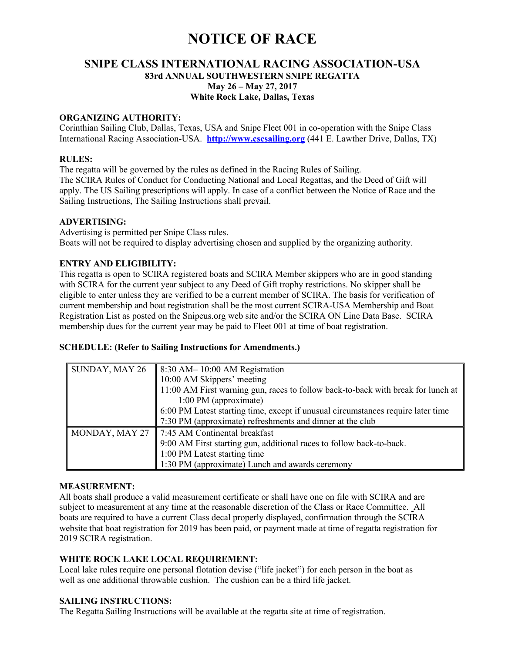# **NOTICE OF RACE**

## **SNIPE CLASS INTERNATIONAL RACING ASSOCIATION-USA 83rd ANNUAL SOUTHWESTERN SNIPE REGATTA May 26 – May 27, 2017 White Rock Lake, Dallas, Texas**

#### **ORGANIZING AUTHORITY:**

Corinthian Sailing Club, Dallas, Texas, USA and Snipe Fleet 001 in co-operation with the Snipe Class International Racing Association-USA. **http://www.cscsailing.org** (441 E. Lawther Drive, Dallas, TX)

#### **RULES:**

The regatta will be governed by the rules as defined in the Racing Rules of Sailing. The SCIRA Rules of Conduct for Conducting National and Local Regattas, and the Deed of Gift will apply. The US Sailing prescriptions will apply. In case of a conflict between the Notice of Race and the Sailing Instructions, The Sailing Instructions shall prevail.

#### **ADVERTISING:**

Advertising is permitted per Snipe Class rules. Boats will not be required to display advertising chosen and supplied by the organizing authority.

#### **ENTRY AND ELIGIBILITY:**

This regatta is open to SCIRA registered boats and SCIRA Member skippers who are in good standing with SCIRA for the current year subject to any Deed of Gift trophy restrictions. No skipper shall be eligible to enter unless they are verified to be a current member of SCIRA. The basis for verification of current membership and boat registration shall be the most current SCIRA-USA Membership and Boat Registration List as posted on the Snipeus.org web site and/or the SCIRA ON Line Data Base. SCIRA membership dues for the current year may be paid to Fleet 001 at time of boat registration.

#### **SCHEDULE: (Refer to Sailing Instructions for Amendments.)**

| SUNDAY, MAY 26 | 8:30 AM – 10:00 AM Registration                                                  |  |
|----------------|----------------------------------------------------------------------------------|--|
|                | 10:00 AM Skippers' meeting                                                       |  |
|                | 11:00 AM First warning gun, races to follow back-to-back with break for lunch at |  |
|                | 1:00 PM (approximate)                                                            |  |
|                | 6:00 PM Latest starting time, except if unusual circumstances require later time |  |
|                | 7:30 PM (approximate) refreshments and dinner at the club                        |  |
| MONDAY, MAY 27 | 7:45 AM Continental breakfast                                                    |  |
|                | 9:00 AM First starting gun, additional races to follow back-to-back.             |  |
|                | 1:00 PM Latest starting time                                                     |  |
|                | 1:30 PM (approximate) Lunch and awards ceremony                                  |  |

#### **MEASUREMENT:**

All boats shall produce a valid measurement certificate or shall have one on file with SCIRA and are subject to measurement at any time at the reasonable discretion of the Class or Race Committee. All boats are required to have a current Class decal properly displayed, confirmation through the SCIRA website that boat registration for 2019 has been paid, or payment made at time of regatta registration for 2019 SCIRA registration.

#### **WHITE ROCK LAKE LOCAL REQUIREMENT:**

Local lake rules require one personal flotation devise ("life jacket") for each person in the boat as well as one additional throwable cushion. The cushion can be a third life jacket.

#### **SAILING INSTRUCTIONS:**

The Regatta Sailing Instructions will be available at the regatta site at time of registration.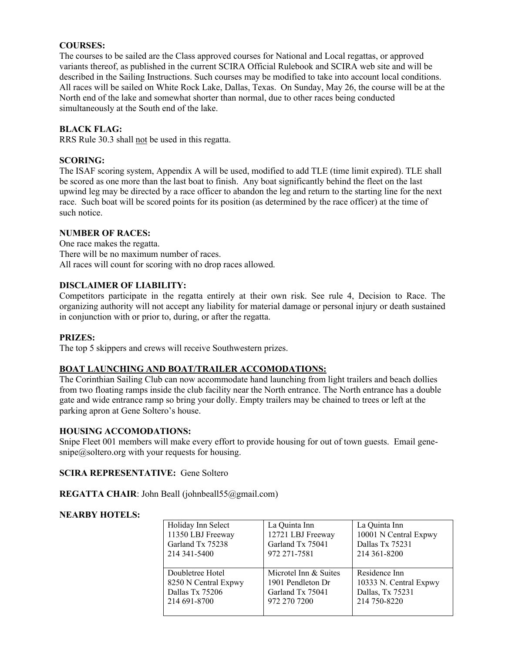### **COURSES:**

The courses to be sailed are the Class approved courses for National and Local regattas, or approved variants thereof, as published in the current SCIRA Official Rulebook and SCIRA web site and will be described in the Sailing Instructions. Such courses may be modified to take into account local conditions. All races will be sailed on White Rock Lake, Dallas, Texas. On Sunday, May 26, the course will be at the North end of the lake and somewhat shorter than normal, due to other races being conducted simultaneously at the South end of the lake.

#### **BLACK FLAG:**

RRS Rule 30.3 shall not be used in this regatta.

#### **SCORING:**

The ISAF scoring system, Appendix A will be used, modified to add TLE (time limit expired). TLE shall be scored as one more than the last boat to finish. Any boat significantly behind the fleet on the last upwind leg may be directed by a race officer to abandon the leg and return to the starting line for the next race. Such boat will be scored points for its position (as determined by the race officer) at the time of such notice.

#### **NUMBER OF RACES:**

One race makes the regatta. There will be no maximum number of races. All races will count for scoring with no drop races allowed.

#### **DISCLAIMER OF LIABILITY:**

Competitors participate in the regatta entirely at their own risk. See rule 4, Decision to Race. The organizing authority will not accept any liability for material damage or personal injury or death sustained in conjunction with or prior to, during, or after the regatta.

#### **PRIZES:**

The top 5 skippers and crews will receive Southwestern prizes.

#### **BOAT LAUNCHING AND BOAT/TRAILER ACCOMODATIONS:**

The Corinthian Sailing Club can now accommodate hand launching from light trailers and beach dollies from two floating ramps inside the club facility near the North entrance. The North entrance has a double gate and wide entrance ramp so bring your dolly. Empty trailers may be chained to trees or left at the parking apron at Gene Soltero's house.

#### **HOUSING ACCOMODATIONS:**

Snipe Fleet 001 members will make every effort to provide housing for out of town guests. Email gene- $\text{snipe}(a)$  soltero.org with your requests for housing.

#### **SCIRA REPRESENTATIVE:** Gene Soltero

**REGATTA CHAIR:** John Beall (johnbeall55@gmail.com)

#### **NEARBY HOTELS:**

| Holiday Inn Select   | La Quinta Inn         | La Quinta Inn          |
|----------------------|-----------------------|------------------------|
| 11350 LBJ Freeway    | 12721 LBJ Freeway     | 10001 N Central Expwy  |
| Garland Tx 75238     | Garland Tx 75041      | Dallas Tx 75231        |
| 214 341 - 5400       | 972 271-7581          | 214 361-8200           |
| Doubletree Hotel     | Microtel Inn & Suites | Residence Inn          |
| 8250 N Central Expwy | 1901 Pendleton Dr     | 10333 N. Central Expwy |
| Dallas Tx 75206      | Garland Tx 75041      | Dallas, Tx 75231       |
| 214 691-8700         | 972 270 7200          | 214 750-8220           |